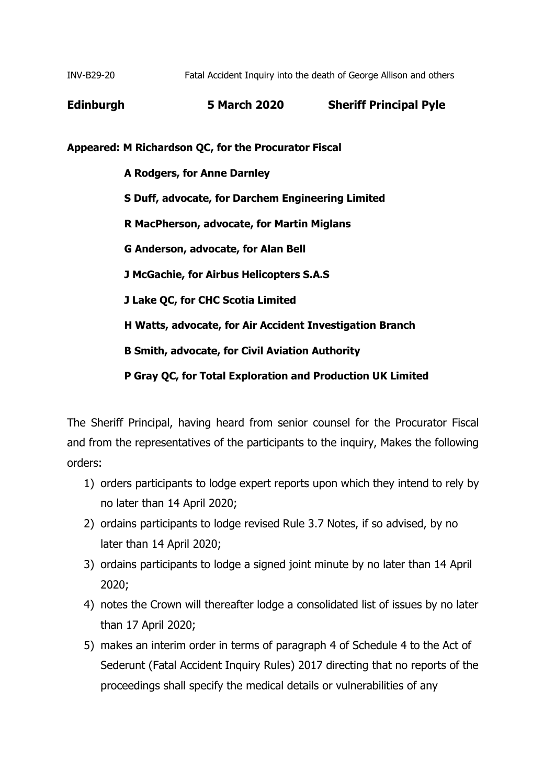INV-B29-20 Fatal Accident Inquiry into the death of George Allison and others

**Edinburgh 5 March 2020 Sheriff Principal Pyle**

**Appeared: M Richardson QC, for the Procurator Fiscal**

 **A Rodgers, for Anne Darnley S Duff, advocate, for Darchem Engineering Limited R MacPherson, advocate, for Martin Miglans G Anderson, advocate, for Alan Bell J McGachie, for Airbus Helicopters S.A.S J Lake QC, for CHC Scotia Limited H Watts, advocate, for Air Accident Investigation Branch B Smith, advocate, for Civil Aviation Authority P Gray QC, for Total Exploration and Production UK Limited**

The Sheriff Principal, having heard from senior counsel for the Procurator Fiscal and from the representatives of the participants to the inquiry, Makes the following orders:

- 1) orders participants to lodge expert reports upon which they intend to rely by no later than 14 April 2020;
- 2) ordains participants to lodge revised Rule 3.7 Notes, if so advised, by no later than 14 April 2020;
- 3) ordains participants to lodge a signed joint minute by no later than 14 April 2020;
- 4) notes the Crown will thereafter lodge a consolidated list of issues by no later than 17 April 2020;
- 5) makes an interim order in terms of paragraph 4 of Schedule 4 to the Act of Sederunt (Fatal Accident Inquiry Rules) 2017 directing that no reports of the proceedings shall specify the medical details or vulnerabilities of any